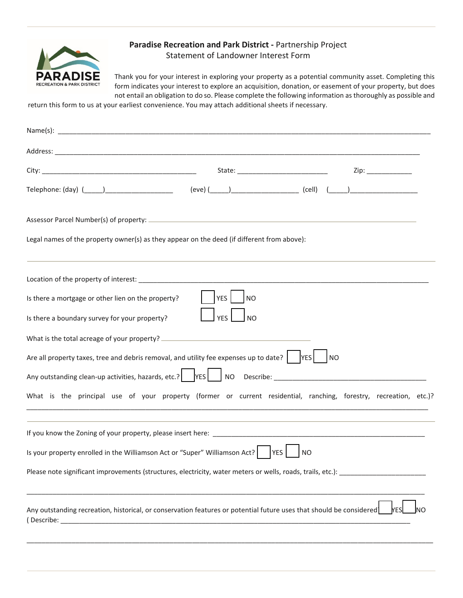

## **Paradise Recreation and Park District -** Partnership Project Statement of Landowner Interest Form

Thank you for your interest in exploring your property as a potential community asset. Completing this form indicates your interest to explore an acquisition, donation, or easement of your property, but does not entail an obligation to do so. Please complete the following information as thoroughly as possible and

return this form to us at your earliest convenience. You may attach additional sheets if necessary.

| Name(s): $\overline{\phantom{a}}$                                                                                                                                                                                              |
|--------------------------------------------------------------------------------------------------------------------------------------------------------------------------------------------------------------------------------|
|                                                                                                                                                                                                                                |
|                                                                                                                                                                                                                                |
|                                                                                                                                                                                                                                |
|                                                                                                                                                                                                                                |
| Legal names of the property owner(s) as they appear on the deed (if different from above):                                                                                                                                     |
|                                                                                                                                                                                                                                |
| YES <sup>I</sup><br>Is there a mortgage or other lien on the property?<br><b>NO</b>                                                                                                                                            |
| <b>YES</b><br><b>NO</b><br>Is there a boundary survey for your property?                                                                                                                                                       |
|                                                                                                                                                                                                                                |
| Are all property taxes, tree and debris removal, and utility fee expenses up to date? $\vert \hspace{0.1cm}$ YES<br> NO                                                                                                        |
|                                                                                                                                                                                                                                |
| What is the principal use of your property (former or current residential, ranching, forestry, recreation, etc.)?                                                                                                              |
| If you know the Zoning of your property, please insert here: <b>All and Science Controller and Science Controller</b>                                                                                                          |
| Is your property enrolled in the Williamson Act or "Super" Williamson Act?   VES<br><b>NO</b>                                                                                                                                  |
| Please note significant improvements (structures, electricity, water meters or wells, roads, trails, etc.): [11] [12] Please note significant improvements (structures, electricity, water meters or wells, roads, trails, etc |
| Any outstanding recreation, historical, or conservation features or potential future uses that should be considered<br><b>YES</b>                                                                                              |